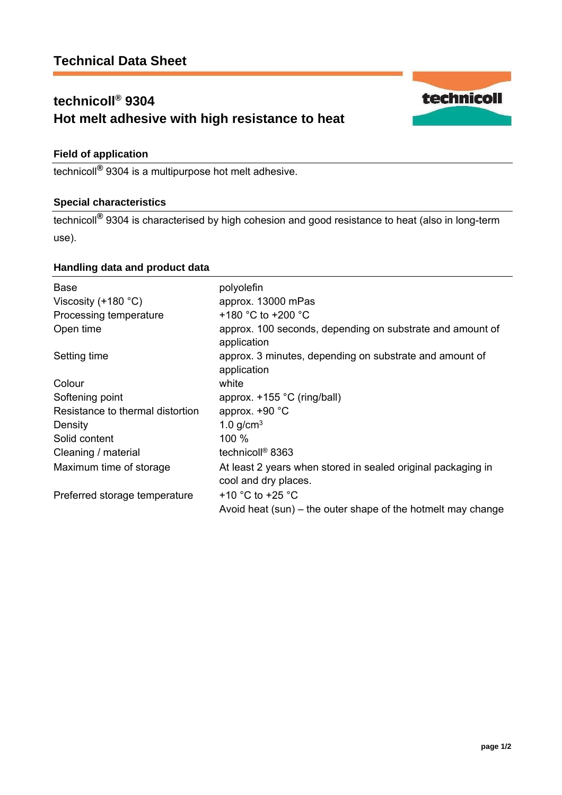# **technicoll® 9304 Hot melt adhesive with high resistance to heat**



technicoll**®** 9304 is a multipurpose hot melt adhesive.

# **Special characteristics**

technicoll**®** 9304 is characterised by high cohesion and good resistance to heat (also in long-term use).

## **Handling data and product data**

| <b>Base</b>                                     | polyolefin                                                             |
|-------------------------------------------------|------------------------------------------------------------------------|
| Viscosity $(+180 °C)$<br>Processing temperature | approx. 13000 mPas<br>+180 °C to +200 °C                               |
| Open time                                       | approx. 100 seconds, depending on substrate and amount of              |
|                                                 | application                                                            |
| Setting time                                    | approx. 3 minutes, depending on substrate and amount of<br>application |
| Colour                                          | white                                                                  |
| Softening point                                 | approx. $+155$ °C (ring/ball)                                          |
| Resistance to thermal distortion                | approx. $+90$ °C                                                       |
| Density                                         | 1.0 $g/cm3$                                                            |
| Solid content                                   | 100 %                                                                  |
| Cleaning / material                             | technicoll <sup>®</sup> 8363                                           |
| Maximum time of storage                         | At least 2 years when stored in sealed original packaging in           |
|                                                 | cool and dry places.                                                   |
| Preferred storage temperature                   | +10 $^{\circ}$ C to +25 $^{\circ}$ C                                   |
|                                                 | Avoid heat (sun) – the outer shape of the hotmelt may change           |

technicoll